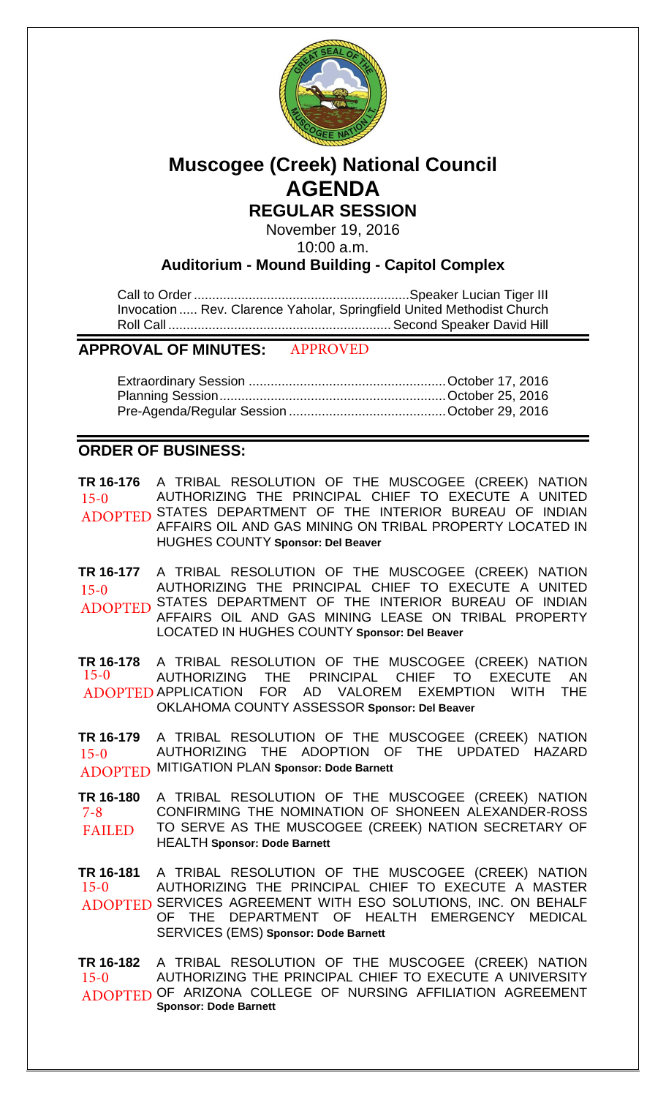

# **Muscogee (Creek) National Council AGENDA**

**REGULAR SESSION**

November 19, 2016 10:00 a.m.

**Auditorium - Mound Building - Capitol Complex**

Call to Order ........................................................... Speaker Lucian Tiger III Invocation ..... Rev. Clarence Yaholar, Springfield United Methodist Church Roll Call ............................................................. Second Speaker David Hill

#### **APPROVAL OF MINUTES:** APPROVED

# **ORDER OF BUSINESS:**

**TR 16-176** A TRIBAL RESOLUTION OF THE MUSCOGEE (CREEK) NATION AUTHORIZING THE PRINCIPAL CHIEF TO EXECUTE A UNITED ADOPTED STATES DEPARTMENT OF THE INTERIOR BUREAU OF INDIAN AFFAIRS OIL AND GAS MINING ON TRIBAL PROPERTY LOCATED IN HUGHES COUNTY **Sponsor: Del Beaver** 15-0

**TR 16-177** A TRIBAL RESOLUTION OF THE MUSCOGEE (CREEK) NATION AUTHORIZING THE PRINCIPAL CHIEF TO EXECUTE A UNITED ADOPTED STATES DEPARTMENT OF THE INTERIOR BUREAU OF INDIAN<br>ADOPTED AFFAIRS OIL AND GAS MINING LEASE ON TRIBAL RROBERTY AFFAIRS OIL AND GAS MINING LEASE ON TRIBAL PROPERTY LOCATED IN HUGHES COUNTY **Sponsor: Del Beaver** 15-0

**TR 16-178** A TRIBAL RESOLUTION OF THE MUSCOGEE (CREEK) NATION AUTHORIZING THE PRINCIPAL CHIEF TO EXECUTE AN ADOPTED APPLICATION FOR AD VALOREM EXEMPTION WITH THE OKLAHOMA COUNTY ASSESSOR **Sponsor: Del Beaver** 15-0

**TR 16-179** A TRIBAL RESOLUTION OF THE MUSCOGEE (CREEK) NATION AUTHORIZING THE ADOPTION OF THE UPDATED HAZARD MITIGATION PLAN **Sponsor: Dode Barnett** ADOPTED 15-0

**TR 16-180** A TRIBAL RESOLUTION OF THE MUSCOGEE (CREEK) NATION CONFIRMING THE NOMINATION OF SHONEEN ALEXANDER-ROSS TO SERVE AS THE MUSCOGEE (CREEK) NATION SECRETARY OF HEALTH **Sponsor: Dode Barnett** 7-8 FAILED

**TR 16-181** A TRIBAL RESOLUTION OF THE MUSCOGEE (CREEK) NATION AUTHORIZING THE PRINCIPAL CHIEF TO EXECUTE A MASTER ADOPTED SERVICES AGREEMENT WITH ESO SOLUTIONS, INC. ON BEHALF OF THE DEPARTMENT OF HEALTH EMERGENCY MEDICAL SERVICES (EMS) **Sponsor: Dode Barnett** 15-0

**TR 16-182** A TRIBAL RESOLUTION OF THE MUSCOGEE (CREEK) NATION AUTHORIZING THE PRINCIPAL CHIEF TO EXECUTE A UNIVERSITY ADOPTED OF ARIZONA COLLEGE OF NURSING AFFILIATION AGREEMENT **Sponsor: Dode Barnett** 15-0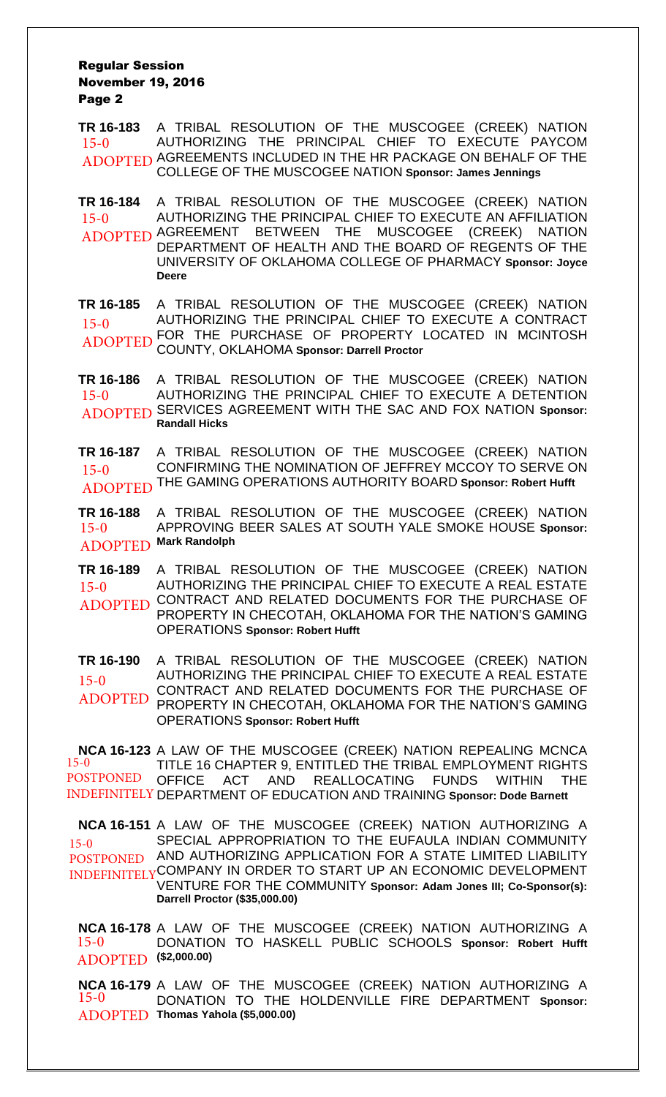#### Regular Session November 19, 2016 Page 2

**TR 16-183** A TRIBAL RESOLUTION OF THE MUSCOGEE (CREEK) NATION AUTHORIZING THE PRINCIPAL CHIEF TO EXECUTE PAYCOM ADOPTED AGREEMENTS INCLUDED IN THE HR PACKAGE ON BEHALF OF THE COLLEGE OF THE MUSCOGEE NATION **Sponsor: James Jennings** 15-0

**TR 16-184** A TRIBAL RESOLUTION OF THE MUSCOGEE (CREEK) NATION AUTHORIZING THE PRINCIPAL CHIEF TO EXECUTE AN AFFILIATION ADOPTED AGREEMENT BETWEEN THE MUSCOGEE (CREEK) NATION DEPARTMENT OF HEALTH AND THE BOARD OF REGENTS OF THE UNIVERSITY OF OKLAHOMA COLLEGE OF PHARMACY **Sponsor: Joyce Deere** 15-0

**TR 16-185** A TRIBAL RESOLUTION OF THE MUSCOGEE (CREEK) NATION AUTHORIZING THE PRINCIPAL CHIEF TO EXECUTE A CONTRACT FOR THE PURCHASE OF PROPERTY LOCATED IN MCINTOSH COUNTY, OKLAHOMA **Sponsor: Darrell Proctor** 15-0 ADOPTED

**TR 16-186** A TRIBAL RESOLUTION OF THE MUSCOGEE (CREEK) NATION AUTHORIZING THE PRINCIPAL CHIEF TO EXECUTE A DETENTION SERVICES AGREEMENT WITH THE SAC AND FOX NATION **Sponsor:** ADOPTED **Randall Hicks** 15-0

**TR 16-187** A TRIBAL RESOLUTION OF THE MUSCOGEE (CREEK) NATION CONFIRMING THE NOMINATION OF JEFFREY MCCOY TO SERVE ON THE GAMING OPERATIONS AUTHORITY BOARD **Sponsor: Robert Hufft** ADOPTED 15-0

**TR 16-188** A TRIBAL RESOLUTION OF THE MUSCOGEE (CREEK) NATION APPROVING BEER SALES AT SOUTH YALE SMOKE HOUSE **Sponsor: Mark Randolph** ADOPTED 15-0

**TR 16-189** A TRIBAL RESOLUTION OF THE MUSCOGEE (CREEK) NATION AUTHORIZING THE PRINCIPAL CHIEF TO EXECUTE A REAL ESTATE ADOPTED CONTRACT AND RELATED DOCUMENTS FOR THE PURCHASE OF PROPERTY IN CHECOTAH, OKLAHOMA FOR THE NATION'S GAMING OPERATIONS **Sponsor: Robert Hufft** 15-0

**TR 16-190** A TRIBAL RESOLUTION OF THE MUSCOGEE (CREEK) NATION AUTHORIZING THE PRINCIPAL CHIEF TO EXECUTE A REAL ESTATE CONTRACT AND RELATED DOCUMENTS FOR THE PURCHASE OF PROPERTY IN CHECOTAH, OKLAHOMA FOR THE NATION'S GAMING OPERATIONS **Sponsor: Robert Hufft** 15-0 ADOPTED

**NCA 16-123** A LAW OF THE MUSCOGEE (CREEK) NATION REPEALING MCNCA TITLE 16 CHAPTER 9, ENTITLED THE TRIBAL EMPLOYMENT RIGHTS ACT AND REALLOCATING FUNDS WITHIN THE INDEFINITELY DEPARTMENT OF EDUCATION AND TRAINING Sponsor: Dode Barnett 15-0 POSTPONED OFFICE

**NCA 16-151** A LAW OF THE MUSCOGEE (CREEK) NATION AUTHORIZING A SPECIAL APPROPRIATION TO THE EUFAULA INDIAN COMMUNITY POSTPONED AND AUTHORIZING APPLICATION FOR A STATE LIMITED LIABILITY INDEFINITELY COMPANY IN ORDER TO START UP AN ECONOMIC DEVELOPMENT VENTURE FOR THE COMMUNITY **Sponsor: Adam Jones III; Co-Sponsor(s): Darrell Proctor (\$35,000.00)** 15-0

**NCA 16-178** A LAW OF THE MUSCOGEE (CREEK) NATION AUTHORIZING A DONATION TO HASKELL PUBLIC SCHOOLS **Sponsor: Robert Hufft (\$2,000.00)** ADOPTED 15-0

**NCA 16-179** A LAW OF THE MUSCOGEE (CREEK) NATION AUTHORIZING A DONATION TO THE HOLDENVILLE FIRE DEPARTMENT **Sponsor: Thomas Yahola (\$5,000.00)** ADOPTED15-0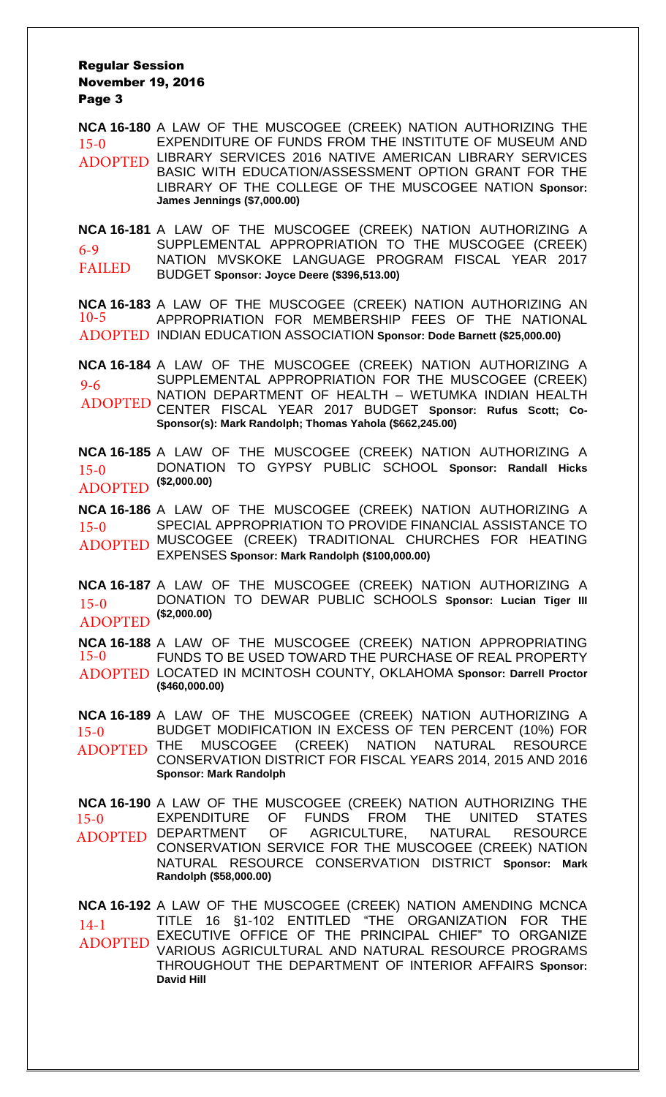#### Regular Session November 19, 2016 Page 3

**NCA 16-180** A LAW OF THE MUSCOGEE (CREEK) NATION AUTHORIZING THE EXPENDITURE OF FUNDS FROM THE INSTITUTE OF MUSEUM AND ADOPTED LIBRARY SERVICES 2016 NATIVE AMERICAN LIBRARY SERVICES BASIC WITH EDUCATION/ASSESSMENT OPTION GRANT FOR THE LIBRARY OF THE COLLEGE OF THE MUSCOGEE NATION **Sponsor: James Jennings (\$7,000.00)** 15-0

**NCA 16-181** A LAW OF THE MUSCOGEE (CREEK) NATION AUTHORIZING A SUPPLEMENTAL APPROPRIATION TO THE MUSCOGEE (CREEK) NATION MVSKOKE LANGUAGE PROGRAM FISCAL YEAR 2017 BUDGET **Sponsor: Joyce Deere (\$396,513.00)** 6-9 FAILED

**NCA 16-183** A LAW OF THE MUSCOGEE (CREEK) NATION AUTHORIZING AN APPROPRIATION FOR MEMBERSHIP FEES OF THE NATIONAL INDIAN EDUCATION ASSOCIATION **Sponsor: Dode Barnett (\$25,000.00)** ADOPTED 10-5

**NCA 16-184** A LAW OF THE MUSCOGEE (CREEK) NATION AUTHORIZING A SUPPLEMENTAL APPROPRIATION FOR THE MUSCOGEE (CREEK) NATION DEPARTMENT OF HEALTH – WETUMKA INDIAN HEALTH CENTER FISCAL YEAR 2017 BUDGET **Sponsor: Rufus Scott; Co-Sponsor(s): Mark Randolph; Thomas Yahola (\$662,245.00)** 9-6 ADOPTED

**NCA 16-185** A LAW OF THE MUSCOGEE (CREEK) NATION AUTHORIZING A DONATION TO GYPSY PUBLIC SCHOOL **Sponsor: Randall Hicks** 15-0 DONATIC<br>**(\$2,000.00) 1DODTED** ADOPTED

**NCA 16-186** A LAW OF THE MUSCOGEE (CREEK) NATION AUTHORIZING A SPECIAL APPROPRIATION TO PROVIDE FINANCIAL ASSISTANCE TO ADOPTED MUSCOGEE (CREEK) TRADITIONAL CHURCHES FOR HEATING EXPENSES **Sponsor: Mark Randolph (\$100,000.00)** 15-0

**NCA 16-187** A LAW OF THE MUSCOGEE (CREEK) NATION AUTHORIZING A DONATION TO DEWAR PUBLIC SCHOOLS **Sponsor: Lucian Tiger III** 15-0 DONATIC<br>**(\$2,000.00) (\$2,000.00)** ADOPTED

**NCA 16-188** A LAW OF THE MUSCOGEE (CREEK) NATION APPROPRIATING FUNDS TO BE USED TOWARD THE PURCHASE OF REAL PROPERTY LOCATED IN MCINTOSH COUNTY, OKLAHOMA **Sponsor: Darrell Proctor** ADOPTED **(\$460,000.00)** 15-0

**NCA 16-189** A LAW OF THE MUSCOGEE (CREEK) NATION AUTHORIZING A BUDGET MODIFICATION IN EXCESS OF TEN PERCENT (10%) FOR THE MUSCOGEE (CREEK) NATION NATURAL RESOURCE CONSERVATION DISTRICT FOR FISCAL YEARS 2014, 2015 AND 2016 **Sponsor: Mark Randolph** 15-0 ADOPTED

**NCA 16-190** A LAW OF THE MUSCOGEE (CREEK) NATION AUTHORIZING THE EXPENDITURE OF FUNDS FROM THE UNITED STATES DEPARTMENT OF AGRICULTURE, NATURAL RESOURCE CONSERVATION SERVICE FOR THE MUSCOGEE (CREEK) NATION NATURAL RESOURCE CONSERVATION DISTRICT **Sponsor: Mark Randolph (\$58,000.00)** 15-0 ADOPTED

**NCA 16-192** A LAW OF THE MUSCOGEE (CREEK) NATION AMENDING MCNCA TITLE 16 §1-102 ENTITLED "THE ORGANIZATION FOR THE EXECUTIVE OFFICE OF THE PRINCIPAL CHIEF" TO ORGANIZE VARIOUS AGRICULTURAL AND NATURAL RESOURCE PROGRAMS THROUGHOUT THE DEPARTMENT OF INTERIOR AFFAIRS **Sponsor: David Hill** 14-1 ADOPTED